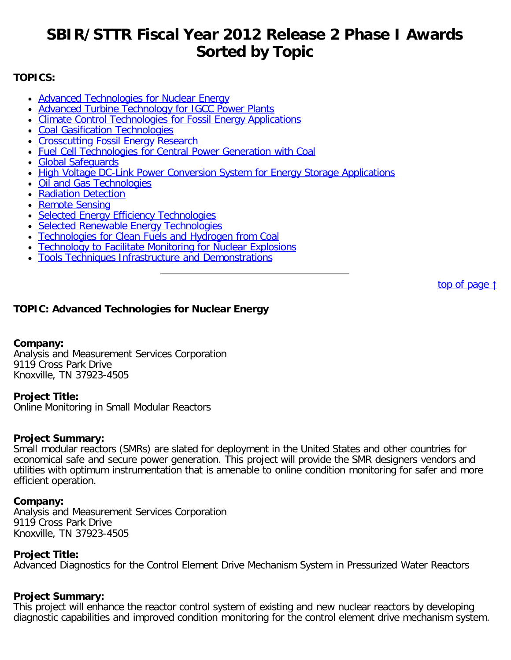# <span id="page-0-1"></span>**SBIR/STTR Fiscal Year 2012 Release 2 Phase I Awards Sorted by Topic**

# **TOPICS:**

- [Advanced Technologies for Nuclear Energy](#page-0-0)
- [Advanced Turbine Technology for IGCC Power Plants](#page-3-0)
- [Climate Control Technologies for Fossil Energy Applications](#page-3-1)
- [Coal Gasification Technologies](#page-5-0)
- [Crosscutting Fossil Energy Research](#page-6-0)
- [Fuel Cell Technologies for Central Power Generation with Coal](#page-7-0)
- [Global Safeguards](#page-8-0)
- [High Voltage DC-Link Power Conversion System for Energy Storage Applications](#page-8-1)
- [Oil and Gas Technologies](#page-9-0)
- [Radiation Detection](#page-9-1)
- [Remote Sensing](#page-10-0)
- [Selected Energy Efficiency Technologies](#page-11-0)
- [Selected Renewable Energy Technologies](#page-15-0)
- [Technologies for Clean Fuels and Hydrogen from Coal](#page-19-0)
- [Technology to Facilitate Monitoring for Nuclear Explosions](#page-20-0)
- [Tools Techniques Infrastructure and Demonstrations](#page-20-1)

[top of page](#page-0-1) [↑](#page-0-1)

# <span id="page-0-0"></span>**TOPIC: Advanced Technologies for Nuclear Energy**

# **Company:**

Analysis and Measurement Services Corporation 9119 Cross Park Drive Knoxville, TN 37923-4505

# **Project Title:**

Online Monitoring in Small Modular Reactors

# **Project Summary:**

Small modular reactors (SMRs) are slated for deployment in the United States and other countries for economical safe and secure power generation. This project will provide the SMR designers vendors and utilities with optimum instrumentation that is amenable to online condition monitoring for safer and more efficient operation.

# **Company:**

Analysis and Measurement Services Corporation 9119 Cross Park Drive Knoxville, TN 37923-4505

# **Project Title:**

Advanced Diagnostics for the Control Element Drive Mechanism System in Pressurized Water Reactors

# **Project Summary:**

This project will enhance the reactor control system of existing and new nuclear reactors by developing diagnostic capabilities and improved condition monitoring for the control element drive mechanism system.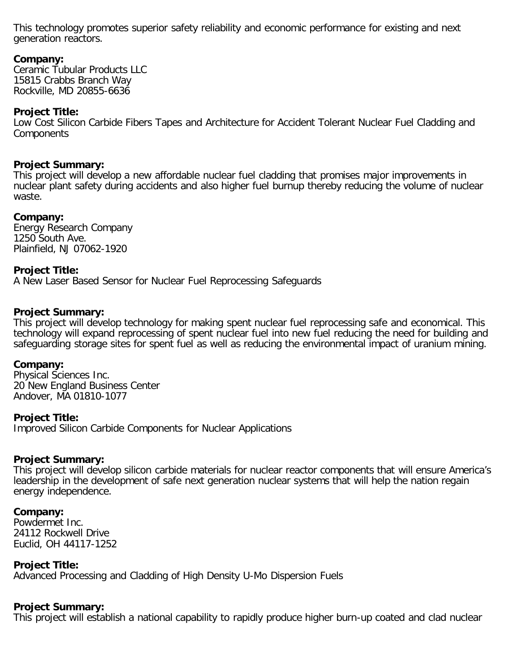This technology promotes superior safety reliability and economic performance for existing and next generation reactors.

# **Company:**

Ceramic Tubular Products LLC 15815 Crabbs Branch Way Rockville, MD 20855-6636

# **Project Title:**

Low Cost Silicon Carbide Fibers Tapes and Architecture for Accident Tolerant Nuclear Fuel Cladding and **Components** 

### **Project Summary:**

This project will develop a new affordable nuclear fuel cladding that promises major improvements in nuclear plant safety during accidents and also higher fuel burnup thereby reducing the volume of nuclear waste.

### **Company:**

Energy Research Company 1250 South Ave. Plainfield, NJ 07062-1920

# **Project Title:**

A New Laser Based Sensor for Nuclear Fuel Reprocessing Safeguards

### **Project Summary:**

This project will develop technology for making spent nuclear fuel reprocessing safe and economical. This technology will expand reprocessing of spent nuclear fuel into new fuel reducing the need for building and safeguarding storage sites for spent fuel as well as reducing the environmental impact of uranium mining.

#### **Company:**

Physical Sciences Inc. 20 New England Business Center Andover, MA 01810-1077

#### **Project Title:**

Improved Silicon Carbide Components for Nuclear Applications

#### **Project Summary:**

This project will develop silicon carbide materials for nuclear reactor components that will ensure America's leadership in the development of safe next generation nuclear systems that will help the nation regain energy independence.

#### **Company:**

Powdermet Inc. 24112 Rockwell Drive Euclid, OH 44117-1252

#### **Project Title:**

Advanced Processing and Cladding of High Density U-Mo Dispersion Fuels

# **Project Summary:**

This project will establish a national capability to rapidly produce higher burn-up coated and clad nuclear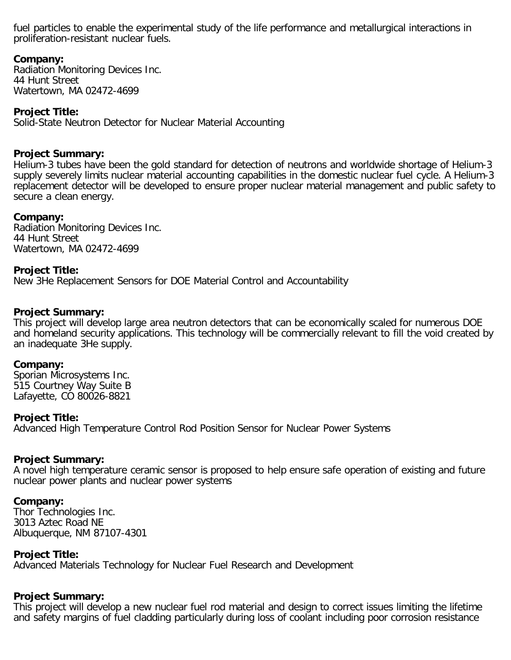fuel particles to enable the experimental study of the life performance and metallurgical interactions in proliferation-resistant nuclear fuels.

# **Company:**

Radiation Monitoring Devices Inc. 44 Hunt Street Watertown, MA 02472-4699

# **Project Title:**

Solid-State Neutron Detector for Nuclear Material Accounting

# **Project Summary:**

Helium-3 tubes have been the gold standard for detection of neutrons and worldwide shortage of Helium-3 supply severely limits nuclear material accounting capabilities in the domestic nuclear fuel cycle. A Helium-3 replacement detector will be developed to ensure proper nuclear material management and public safety to secure a clean energy.

# **Company:**

Radiation Monitoring Devices Inc. 44 Hunt Street Watertown, MA 02472-4699

# **Project Title:**

New 3He Replacement Sensors for DOE Material Control and Accountability

# **Project Summary:**

This project will develop large area neutron detectors that can be economically scaled for numerous DOE and homeland security applications. This technology will be commercially relevant to fill the void created by an inadequate 3He supply.

# **Company:**

Sporian Microsystems Inc. 515 Courtney Way Suite B Lafayette, CO 80026-8821

# **Project Title:**

Advanced High Temperature Control Rod Position Sensor for Nuclear Power Systems

# **Project Summary:**

A novel high temperature ceramic sensor is proposed to help ensure safe operation of existing and future nuclear power plants and nuclear power systems

# **Company:**

Thor Technologies Inc. 3013 Aztec Road NE Albuquerque, NM 87107-4301

# **Project Title:**

Advanced Materials Technology for Nuclear Fuel Research and Development

# **Project Summary:**

This project will develop a new nuclear fuel rod material and design to correct issues limiting the lifetime and safety margins of fuel cladding particularly during loss of coolant including poor corrosion resistance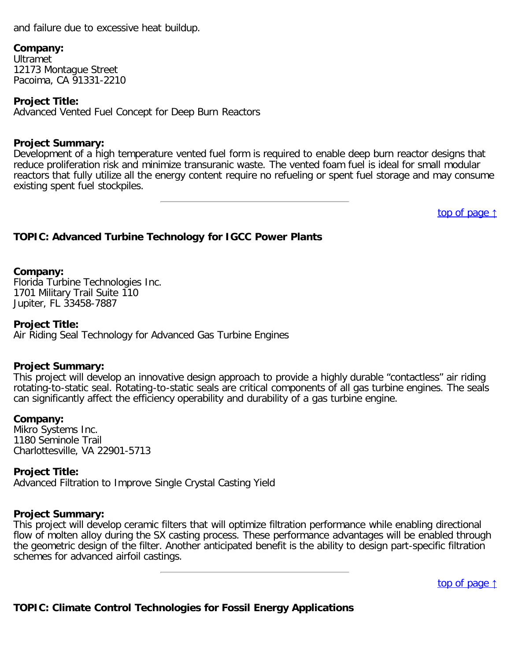and failure due to excessive heat buildup.

#### **Company:**

Ultramet 12173 Montague Street Pacoima, CA 91331-2210

# **Project Title:**

Advanced Vented Fuel Concept for Deep Burn Reactors

# **Project Summary:**

Development of a high temperature vented fuel form is required to enable deep burn reactor designs that reduce proliferation risk and minimize transuranic waste. The vented foam fuel is ideal for small modular reactors that fully utilize all the energy content require no refueling or spent fuel storage and may consume existing spent fuel stockpiles.

[top of page](#page-0-1) [↑](#page-0-1)

# <span id="page-3-0"></span>**TOPIC: Advanced Turbine Technology for IGCC Power Plants**

# **Company:**

Florida Turbine Technologies Inc. 1701 Military Trail Suite 110 Jupiter, FL 33458-7887

# **Project Title:**

Air Riding Seal Technology for Advanced Gas Turbine Engines

# **Project Summary:**

This project will develop an innovative design approach to provide a highly durable "contactless" air riding rotating-to-static seal. Rotating-to-static seals are critical components of all gas turbine engines. The seals can significantly affect the efficiency operability and durability of a gas turbine engine.

# **Company:**

Mikro Systems Inc. 1180 Seminole Trail Charlottesville, VA 22901-5713

# **Project Title:**

Advanced Filtration to Improve Single Crystal Casting Yield

# **Project Summary:**

This project will develop ceramic filters that will optimize filtration performance while enabling directional flow of molten alloy during the SX casting process. These performance advantages will be enabled through the geometric design of the filter. Another anticipated benefit is the ability to design part-specific filtration schemes for advanced airfoil castings.

[top of page](#page-0-1) [↑](#page-0-1)

<span id="page-3-1"></span>**TOPIC: Climate Control Technologies for Fossil Energy Applications**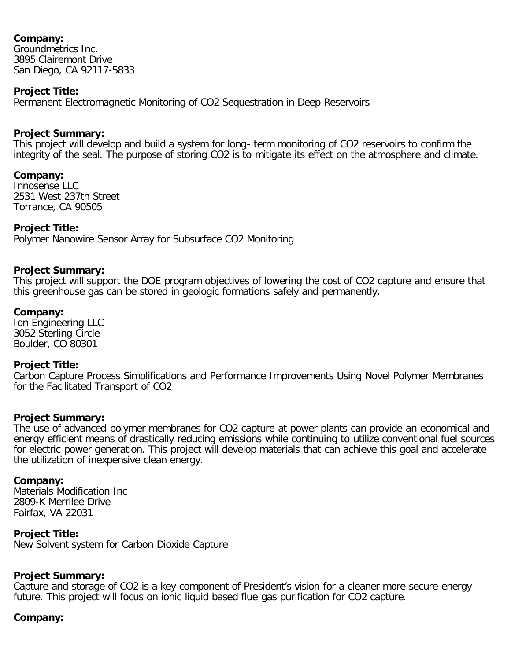Groundmetrics Inc. 3895 Clairemont Drive San Diego, CA 92117-5833

# **Project Title:**

Permanent Electromagnetic Monitoring of CO2 Sequestration in Deep Reservoirs

# **Project Summary:**

This project will develop and build a system for long- term monitoring of CO2 reservoirs to confirm the integrity of the seal. The purpose of storing CO2 is to mitigate its effect on the atmosphere and climate.

### **Company:**

Innosense LLC 2531 West 237th Street Torrance, CA 90505

### **Project Title:**

Polymer Nanowire Sensor Array for Subsurface CO2 Monitoring

### **Project Summary:**

This project will support the DOE program objectives of lowering the cost of CO2 capture and ensure that this greenhouse gas can be stored in geologic formations safely and permanently.

### **Company:**

Ion Engineering LLC 3052 Sterling Circle Boulder, CO 80301

#### **Project Title:**

Carbon Capture Process Simplifications and Performance Improvements Using Novel Polymer Membranes for the Facilitated Transport of CO2

#### **Project Summary:**

The use of advanced polymer membranes for CO2 capture at power plants can provide an economical and energy efficient means of drastically reducing emissions while continuing to utilize conventional fuel sources for electric power generation. This project will develop materials that can achieve this goal and accelerate the utilization of inexpensive clean energy.

#### **Company:**

Materials Modification Inc 2809-K Merrilee Drive Fairfax, VA 22031

# **Project Title:**

New Solvent system for Carbon Dioxide Capture

# **Project Summary:**

Capture and storage of CO2 is a key component of President's vision for a cleaner more secure energy future. This project will focus on ionic liquid based flue gas purification for CO2 capture.

#### **Company:**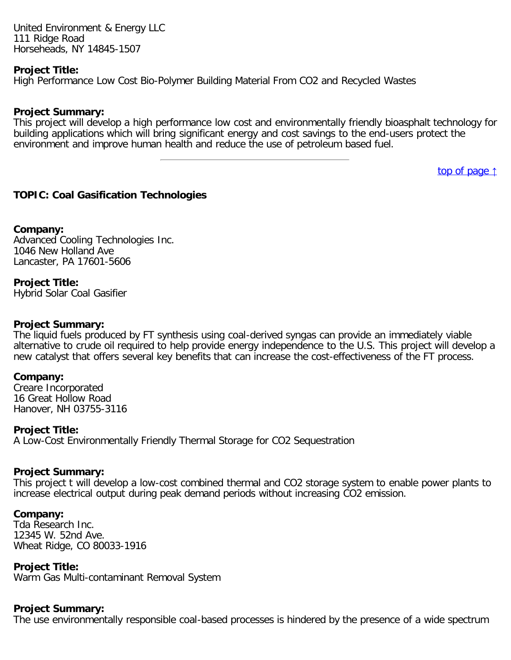United Environment & Energy LLC 111 Ridge Road Horseheads, NY 14845-1507

#### **Project Title:**

High Performance Low Cost Bio-Polymer Building Material From CO2 and Recycled Wastes

#### **Project Summary:**

This project will develop a high performance low cost and environmentally friendly bioasphalt technology for building applications which will bring significant energy and cost savings to the end-users protect the environment and improve human health and reduce the use of petroleum based fuel.

[top of page](#page-0-1) [↑](#page-0-1)

# <span id="page-5-0"></span>**TOPIC: Coal Gasification Technologies**

#### **Company:**

Advanced Cooling Technologies Inc. 1046 New Holland Ave Lancaster, PA 17601-5606

# **Project Title:**

Hybrid Solar Coal Gasifier

#### **Project Summary:**

The liquid fuels produced by FT synthesis using coal-derived syngas can provide an immediately viable alternative to crude oil required to help provide energy independence to the U.S. This project will develop a new catalyst that offers several key benefits that can increase the cost-effectiveness of the FT process.

#### **Company:**

Creare Incorporated 16 Great Hollow Road Hanover, NH 03755-3116

#### **Project Title:**

A Low-Cost Environmentally Friendly Thermal Storage for CO2 Sequestration

#### **Project Summary:**

This project t will develop a low-cost combined thermal and CO2 storage system to enable power plants to increase electrical output during peak demand periods without increasing CO2 emission.

#### **Company:**

Tda Research Inc. 12345 W. 52nd Ave. Wheat Ridge, CO 80033-1916

#### **Project Title:**

Warm Gas Multi-contaminant Removal System

#### **Project Summary:**

The use environmentally responsible coal-based processes is hindered by the presence of a wide spectrum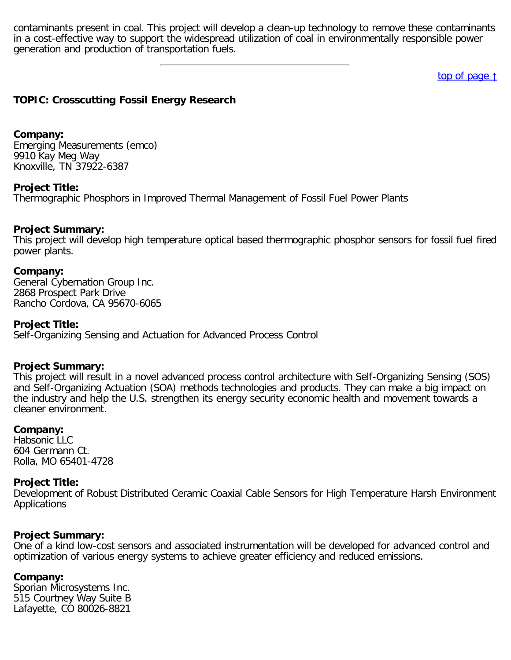contaminants present in coal. This project will develop a clean-up technology to remove these contaminants in a cost-effective way to support the widespread utilization of coal in environmentally responsible power generation and production of transportation fuels.

[top of page](#page-0-1) [↑](#page-0-1)

# <span id="page-6-0"></span>**TOPIC: Crosscutting Fossil Energy Research**

#### **Company:**

Emerging Measurements (emco) 9910 Kay Meg Way Knoxville, TN 37922-6387

### **Project Title:**

Thermographic Phosphors in Improved Thermal Management of Fossil Fuel Power Plants

### **Project Summary:**

This project will develop high temperature optical based thermographic phosphor sensors for fossil fuel fired power plants.

#### **Company:**

General Cybernation Group Inc. 2868 Prospect Park Drive Rancho Cordova, CA 95670-6065

#### **Project Title:**

Self-Organizing Sensing and Actuation for Advanced Process Control

#### **Project Summary:**

This project will result in a novel advanced process control architecture with Self-Organizing Sensing (SOS) and Self-Organizing Actuation (SOA) methods technologies and products. They can make a big impact on the industry and help the U.S. strengthen its energy security economic health and movement towards a cleaner environment.

#### **Company:**

Habsonic LLC 604 Germann Ct. Rolla, MO 65401-4728

#### **Project Title:**

Development of Robust Distributed Ceramic Coaxial Cable Sensors for High Temperature Harsh Environment Applications

#### **Project Summary:**

One of a kind low-cost sensors and associated instrumentation will be developed for advanced control and optimization of various energy systems to achieve greater efficiency and reduced emissions.

#### **Company:**

Sporian Microsystems Inc. 515 Courtney Way Suite B Lafayette, CO 80026-8821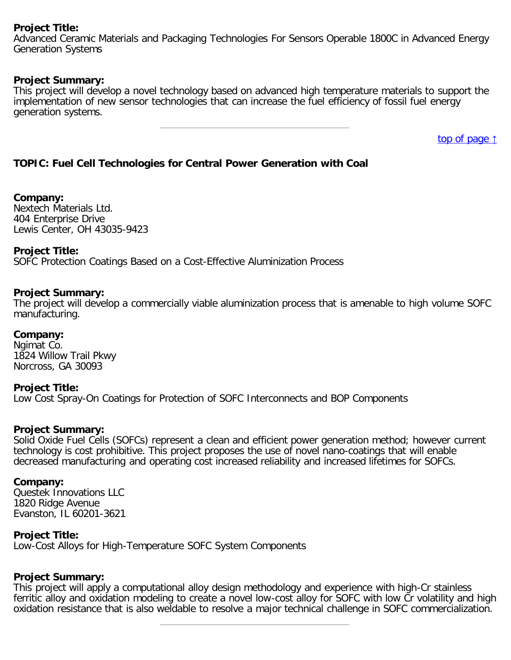# **Project Title:**

Advanced Ceramic Materials and Packaging Technologies For Sensors Operable 1800C in Advanced Energy Generation Systems

# **Project Summary:**

This project will develop a novel technology based on advanced high temperature materials to support the implementation of new sensor technologies that can increase the fuel efficiency of fossil fuel energy generation systems.

[top of page](#page-0-1) [↑](#page-0-1)

# <span id="page-7-0"></span>**TOPIC: Fuel Cell Technologies for Central Power Generation with Coal**

# **Company:**

Nextech Materials Ltd. 404 Enterprise Drive Lewis Center, OH 43035-9423

# **Project Title:**

SOFC Protection Coatings Based on a Cost-Effective Aluminization Process

# **Project Summary:**

The project will develop a commercially viable aluminization process that is amenable to high volume SOFC manufacturing.

# **Company:**

Ngimat Co. 1824 Willow Trail Pkwy Norcross, GA 30093

#### **Project Title:** Low Cost Spray-On Coatings for Protection of SOFC Interconnects and BOP Components

# **Project Summary:**

Solid Oxide Fuel Cells (SOFCs) represent a clean and efficient power generation method; however current technology is cost prohibitive. This project proposes the use of novel nano-coatings that will enable decreased manufacturing and operating cost increased reliability and increased lifetimes for SOFCs.

# **Company:**

Questek Innovations LLC 1820 Ridge Avenue Evanston, IL 60201-3621

# **Project Title:**

Low-Cost Alloys for High-Temperature SOFC System Components

# **Project Summary:**

This project will apply a computational alloy design methodology and experience with high-Cr stainless ferritic alloy and oxidation modeling to create a novel low-cost alloy for SOFC with low Cr volatility and high oxidation resistance that is also weldable to resolve a major technical challenge in SOFC commercialization.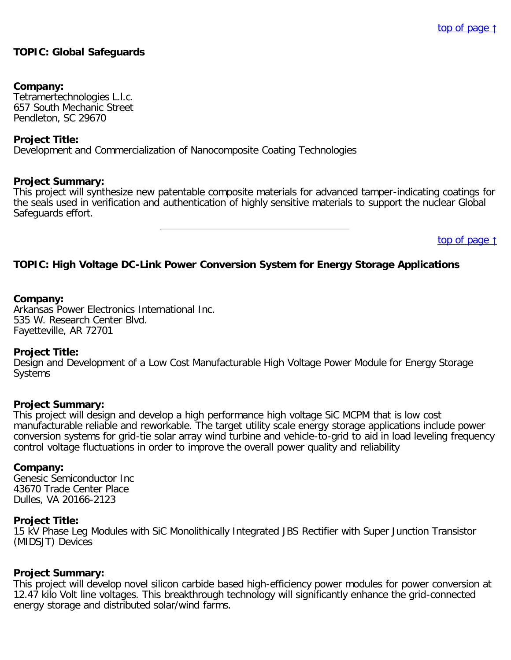# <span id="page-8-0"></span>**TOPIC: Global Safeguards**

#### **Company:**

Tetramertechnologies L.l.c. 657 South Mechanic Street Pendleton, SC 29670

#### **Project Title:**

Development and Commercialization of Nanocomposite Coating Technologies

#### **Project Summary:**

This project will synthesize new patentable composite materials for advanced tamper-indicating coatings for the seals used in verification and authentication of highly sensitive materials to support the nuclear Global Safeguards effort.

[top of page](#page-0-1) [↑](#page-0-1)

# <span id="page-8-1"></span>**TOPIC: High Voltage DC-Link Power Conversion System for Energy Storage Applications**

#### **Company:**

Arkansas Power Electronics International Inc. 535 W. Research Center Blvd. Fayetteville, AR 72701

#### **Project Title:**

Design and Development of a Low Cost Manufacturable High Voltage Power Module for Energy Storage Systems

#### **Project Summary:**

This project will design and develop a high performance high voltage SiC MCPM that is low cost manufacturable reliable and reworkable. The target utility scale energy storage applications include power conversion systems for grid-tie solar array wind turbine and vehicle-to-grid to aid in load leveling frequency control voltage fluctuations in order to improve the overall power quality and reliability

#### **Company:**

Genesic Semiconductor Inc 43670 Trade Center Place Dulles, VA 20166-2123

#### **Project Title:**

15 kV Phase Leg Modules with SiC Monolithically Integrated JBS Rectifier with Super Junction Transistor (MIDSJT) Devices

#### **Project Summary:**

This project will develop novel silicon carbide based high-efficiency power modules for power conversion at 12.47 kilo Volt line voltages. This breakthrough technology will significantly enhance the grid-connected energy storage and distributed solar/wind farms.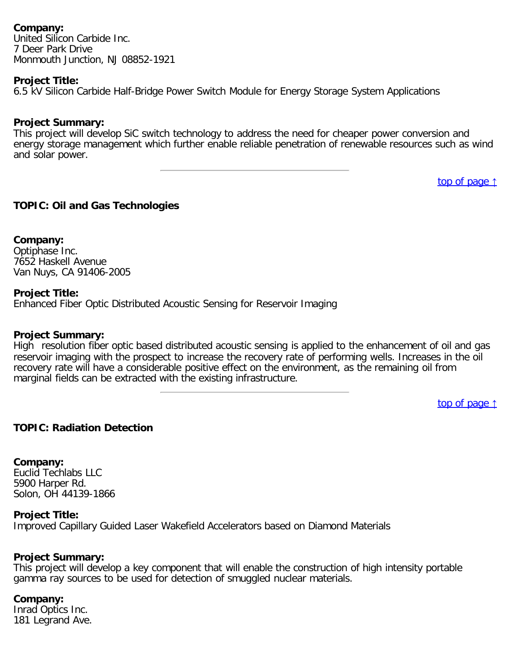United Silicon Carbide Inc. 7 Deer Park Drive Monmouth Junction, NJ 08852-1921

# **Project Title:**

6.5 kV Silicon Carbide Half-Bridge Power Switch Module for Energy Storage System Applications

### **Project Summary:**

This project will develop SiC switch technology to address the need for cheaper power conversion and energy storage management which further enable reliable penetration of renewable resources such as wind and solar power.

[top of page](#page-0-1) [↑](#page-0-1)

# <span id="page-9-0"></span>**TOPIC: Oil and Gas Technologies**

**Company:** Optiphase Inc. 7652 Haskell Avenue Van Nuys, CA 91406-2005

### **Project Title:**

Enhanced Fiber Optic Distributed Acoustic Sensing for Reservoir Imaging

#### **Project Summary:**

High resolution fiber optic based distributed acoustic sensing is applied to the enhancement of oil and gas reservoir imaging with the prospect to increase the recovery rate of performing wells. Increases in the oil recovery rate will have a considerable positive effect on the environment, as the remaining oil from marginal fields can be extracted with the existing infrastructure.

[top of page](#page-0-1) [↑](#page-0-1)

# <span id="page-9-1"></span>**TOPIC: Radiation Detection**

**Company:** Euclid Techlabs LLC 5900 Harper Rd. Solon, OH 44139-1866

#### **Project Title:**

Improved Capillary Guided Laser Wakefield Accelerators based on Diamond Materials

# **Project Summary:**

This project will develop a key component that will enable the construction of high intensity portable gamma ray sources to be used for detection of smuggled nuclear materials.

#### **Company:**

Inrad Optics Inc. 181 Legrand Ave.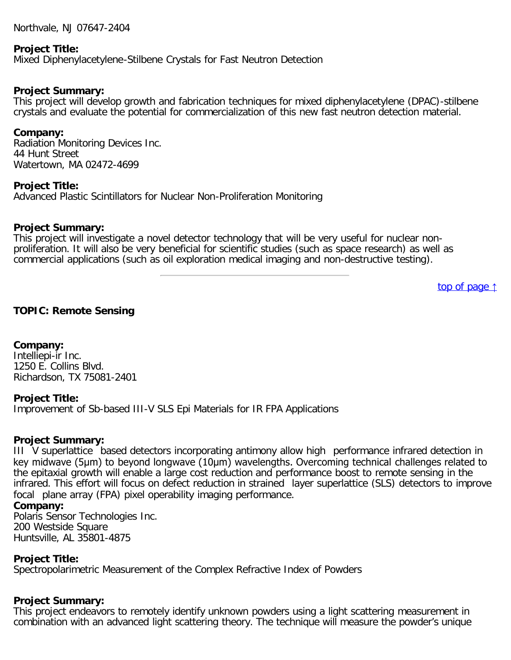Northvale, NJ 07647-2404

#### **Project Title:**

Mixed Diphenylacetylene-Stilbene Crystals for Fast Neutron Detection

#### **Project Summary:**

This project will develop growth and fabrication techniques for mixed diphenylacetylene (DPAC)-stilbene crystals and evaluate the potential for commercialization of this new fast neutron detection material.

#### **Company:**

Radiation Monitoring Devices Inc. 44 Hunt Street Watertown, MA 02472-4699

#### **Project Title:**

Advanced Plastic Scintillators for Nuclear Non-Proliferation Monitoring

#### **Project Summary:**

This project will investigate a novel detector technology that will be very useful for nuclear nonproliferation. It will also be very beneficial for scientific studies (such as space research) as well as commercial applications (such as oil exploration medical imaging and non-destructive testing).

[top of page](#page-0-1) [↑](#page-0-1)

#### <span id="page-10-0"></span>**TOPIC: Remote Sensing**

**Company:** Intelliepi-ir Inc. 1250 E. Collins Blvd. Richardson, TX 75081-2401

#### **Project Title:**

Improvement of Sb-based III-V SLS Epi Materials for IR FPA Applications

#### **Project Summary:**

III V superlattice based detectors incorporating antimony allow high performance infrared detection in key midwave (5μm) to beyond longwave (10μm) wavelengths. Overcoming technical challenges related to the epitaxial growth will enable a large cost reduction and performance boost to remote sensing in the infrared. This effort will focus on defect reduction in strained layer superlattice (SLS) detectors to improve focal plane array (FPA) pixel operability imaging performance.

#### **Company:**

Polaris Sensor Technologies Inc. 200 Westside Square Huntsville, AL 35801-4875

#### **Project Title:**

Spectropolarimetric Measurement of the Complex Refractive Index of Powders

#### **Project Summary:**

This project endeavors to remotely identify unknown powders using a light scattering measurement in combination with an advanced light scattering theory. The technique will measure the powder's unique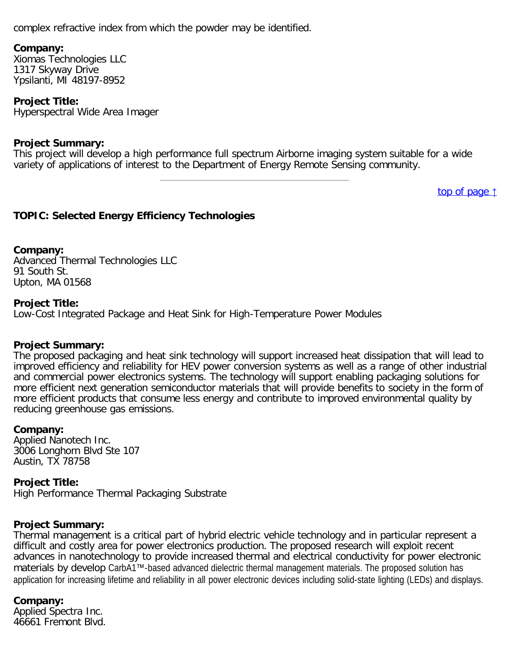complex refractive index from which the powder may be identified.

# **Company:**

Xiomas Technologies LLC 1317 Skyway Drive Ypsilanti, MI 48197-8952

# **Project Title:**

Hyperspectral Wide Area Imager

# **Project Summary:**

This project will develop a high performance full spectrum Airborne imaging system suitable for a wide variety of applications of interest to the Department of Energy Remote Sensing community.

[top of page](#page-0-1) [↑](#page-0-1)

# <span id="page-11-0"></span>**TOPIC: Selected Energy Efficiency Technologies**

### **Company:**

Advanced Thermal Technologies LLC 91 South St. Upton, MA 01568

### **Project Title:**

Low-Cost Integrated Package and Heat Sink for High-Temperature Power Modules

# **Project Summary:**

The proposed packaging and heat sink technology will support increased heat dissipation that will lead to improved efficiency and reliability for HEV power conversion systems as well as a range of other industrial and commercial power electronics systems. The technology will support enabling packaging solutions for more efficient next generation semiconductor materials that will provide benefits to society in the form of more efficient products that consume less energy and contribute to improved environmental quality by reducing greenhouse gas emissions.

#### **Company:**

Applied Nanotech Inc. 3006 Longhorn Blvd Ste 107 Austin, TX 78758

#### **Project Title:**

High Performance Thermal Packaging Substrate

# **Project Summary:**

Thermal management is a critical part of hybrid electric vehicle technology and in particular represent a difficult and costly area for power electronics production. The proposed research will exploit recent advances in nanotechnology to provide increased thermal and electrical conductivity for power electronic materials by develop CarbA1™-based advanced dielectric thermal management materials. The proposed solution has application for increasing lifetime and reliability in all power electronic devices including solid-state lighting (LEDs) and displays.

# **Company:**

Applied Spectra Inc. 46661 Fremont Blvd.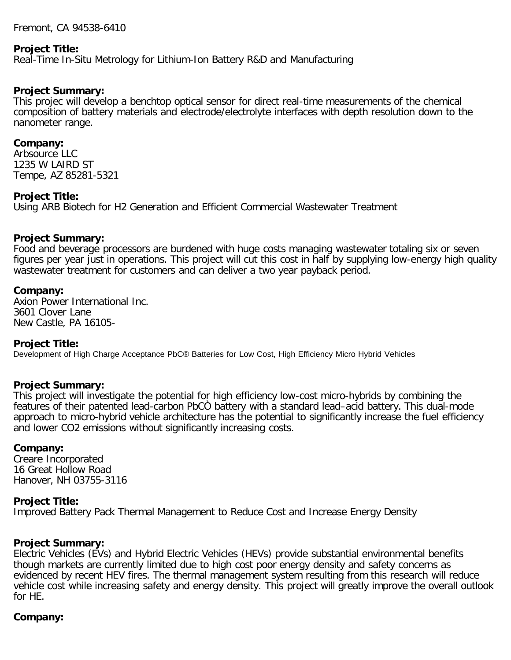Fremont, CA 94538-6410

#### **Project Title:**

Real-Time In-Situ Metrology for Lithium-Ion Battery R&D and Manufacturing

#### **Project Summary:**

This projec will develop a benchtop optical sensor for direct real-time measurements of the chemical composition of battery materials and electrode/electrolyte interfaces with depth resolution down to the nanometer range.

#### **Company:**

Arbsource LLC 1235 W LAIRD ST Tempe, AZ 85281-5321

#### **Project Title:**

Using ARB Biotech for H2 Generation and Efficient Commercial Wastewater Treatment

#### **Project Summary:**

Food and beverage processors are burdened with huge costs managing wastewater totaling six or seven figures per year just in operations. This project will cut this cost in half by supplying low-energy high quality wastewater treatment for customers and can deliver a two year payback period.

#### **Company:**

Axion Power International Inc. 3601 Clover Lane New Castle, PA 16105-

#### **Project Title:**

Development of High Charge Acceptance PbC® Batteries for Low Cost, High Efficiency Micro Hybrid Vehicles

#### **Project Summary:**

This project will investigate the potential for high efficiency low-cost micro-hybrids by combining the features of their patented lead-carbon PbCÒ battery with a standard lead–acid battery. This dual-mode approach to micro-hybrid vehicle architecture has the potential to significantly increase the fuel efficiency and lower CO2 emissions without significantly increasing costs.

#### **Company:**

Creare Incorporated 16 Great Hollow Road Hanover, NH 03755-3116

#### **Project Title:**

Improved Battery Pack Thermal Management to Reduce Cost and Increase Energy Density

#### **Project Summary:**

Electric Vehicles (EVs) and Hybrid Electric Vehicles (HEVs) provide substantial environmental benefits though markets are currently limited due to high cost poor energy density and safety concerns as evidenced by recent HEV fires. The thermal management system resulting from this research will reduce vehicle cost while increasing safety and energy density. This project will greatly improve the overall outlook for HE.

#### **Company:**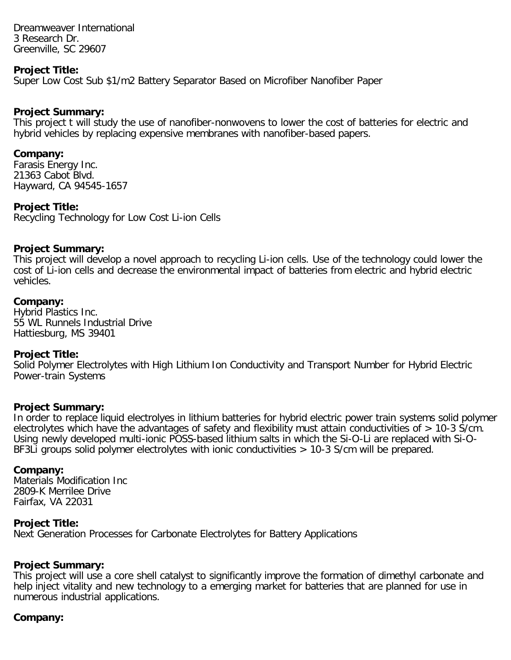Dreamweaver International 3 Research Dr. Greenville, SC 29607

#### **Project Title:**

Super Low Cost Sub \$1/m2 Battery Separator Based on Microfiber Nanofiber Paper

#### **Project Summary:**

This project t will study the use of nanofiber-nonwovens to lower the cost of batteries for electric and hybrid vehicles by replacing expensive membranes with nanofiber-based papers.

#### **Company:**

Farasis Energy Inc. 21363 Cabot Blvd. Hayward, CA 94545-1657

#### **Project Title:**

Recycling Technology for Low Cost Li-ion Cells

#### **Project Summary:**

This project will develop a novel approach to recycling Li-ion cells. Use of the technology could lower the cost of Li-ion cells and decrease the environmental impact of batteries from electric and hybrid electric vehicles.

#### **Company:**

Hybrid Plastics Inc. 55 WL Runnels Industrial Drive Hattiesburg, MS 39401

#### **Project Title:**

Solid Polymer Electrolytes with High Lithium Ion Conductivity and Transport Number for Hybrid Electric Power-train Systems

#### **Project Summary:**

In order to replace liquid electrolyes in lithium batteries for hybrid electric power train systems solid polymer electrolytes which have the advantages of safety and flexibility must attain conductivities of > 10-3 S/cm. Using newly developed multi-ionic POSS-based lithium salts in which the Si-O-Li are replaced with Si-O-BF3Li groups solid polymer electrolytes with ionic conductivities > 10-3 S/cm will be prepared.

#### **Company:**

Materials Modification Inc 2809-K Merrilee Drive Fairfax, VA 22031

#### **Project Title:**

Next Generation Processes for Carbonate Electrolytes for Battery Applications

#### **Project Summary:**

This project will use a core shell catalyst to significantly improve the formation of dimethyl carbonate and help inject vitality and new technology to a emerging market for batteries that are planned for use in numerous industrial applications.

#### **Company:**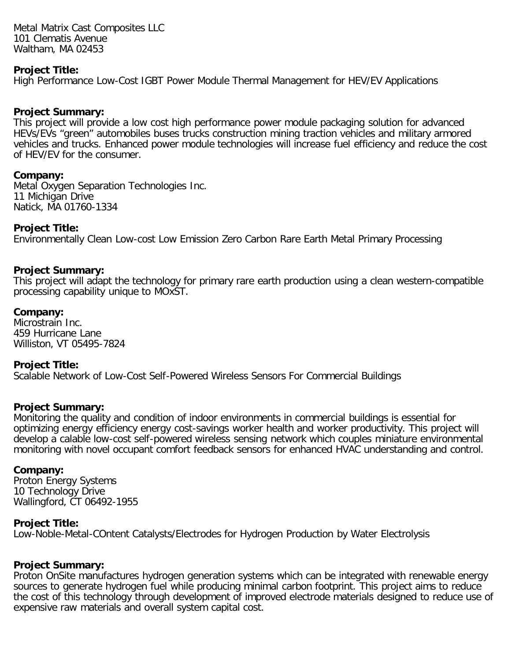Metal Matrix Cast Composites LLC 101 Clematis Avenue Waltham, MA 02453

#### **Project Title:**

High Performance Low-Cost IGBT Power Module Thermal Management for HEV/EV Applications

#### **Project Summary:**

This project will provide a low cost high performance power module packaging solution for advanced HEVs/EVs "green" automobiles buses trucks construction mining traction vehicles and military armored vehicles and trucks. Enhanced power module technologies will increase fuel efficiency and reduce the cost of HEV/EV for the consumer.

#### **Company:**

Metal Oxygen Separation Technologies Inc. 11 Michigan Drive Natick, MA 01760-1334

#### **Project Title:**

Environmentally Clean Low-cost Low Emission Zero Carbon Rare Earth Metal Primary Processing

# **Project Summary:**

This project will adapt the technology for primary rare earth production using a clean western-compatible processing capability unique to MOxST.

### **Company:**

Microstrain Inc. 459 Hurricane Lane Williston, VT 05495-7824

#### **Project Title:**

Scalable Network of Low-Cost Self-Powered Wireless Sensors For Commercial Buildings

# **Project Summary:**

Monitoring the quality and condition of indoor environments in commercial buildings is essential for optimizing energy efficiency energy cost-savings worker health and worker productivity. This project will develop a calable low-cost self-powered wireless sensing network which couples miniature environmental monitoring with novel occupant comfort feedback sensors for enhanced HVAC understanding and control.

#### **Company:**

Proton Energy Systems 10 Technology Drive Wallingford, CT 06492-1955

#### **Project Title:**

Low-Noble-Metal-COntent Catalysts/Electrodes for Hydrogen Production by Water Electrolysis

# **Project Summary:**

Proton OnSite manufactures hydrogen generation systems which can be integrated with renewable energy sources to generate hydrogen fuel while producing minimal carbon footprint. This project aims to reduce the cost of this technology through development of improved electrode materials designed to reduce use of expensive raw materials and overall system capital cost.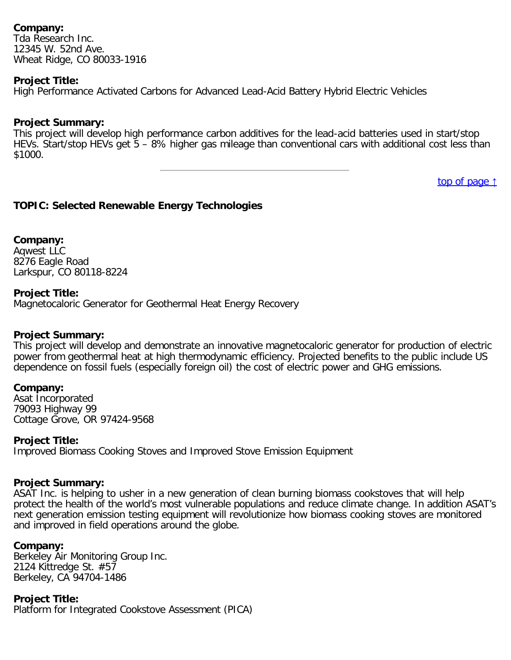Tda Research Inc. 12345 W. 52nd Ave. Wheat Ridge, CO 80033-1916

# **Project Title:**

High Performance Activated Carbons for Advanced Lead-Acid Battery Hybrid Electric Vehicles

# **Project Summary:**

This project will develop high performance carbon additives for the lead-acid batteries used in start/stop HEVs. Start/stop HEVs get 5 – 8% higher gas mileage than conventional cars with additional cost less than \$1000.

[top of page](#page-0-1) [↑](#page-0-1)

# <span id="page-15-0"></span>**TOPIC: Selected Renewable Energy Technologies**

**Company:** Aqwest LLC 8276 Eagle Road Larkspur, CO 80118-8224

### **Project Title:**

Magnetocaloric Generator for Geothermal Heat Energy Recovery

#### **Project Summary:**

This project will develop and demonstrate an innovative magnetocaloric generator for production of electric power from geothermal heat at high thermodynamic efficiency. Projected benefits to the public include US dependence on fossil fuels (especially foreign oil) the cost of electric power and GHG emissions.

#### **Company:**

Asat Incorporated 79093 Highway 99 Cottage Grove, OR 97424-9568

#### **Project Title:**

Improved Biomass Cooking Stoves and Improved Stove Emission Equipment

#### **Project Summary:**

ASAT Inc. is helping to usher in a new generation of clean burning biomass cookstoves that will help protect the health of the world's most vulnerable populations and reduce climate change. In addition ASAT's next generation emission testing equipment will revolutionize how biomass cooking stoves are monitored and improved in field operations around the globe.

# **Company:**

Berkeley Air Monitoring Group Inc. 2124 Kittredge St. #57 Berkeley, CA 94704-1486

# **Project Title:**

Platform for Integrated Cookstove Assessment (PICA)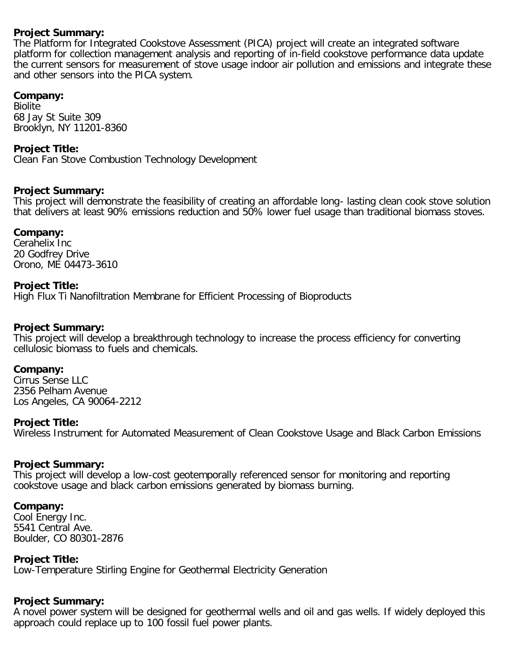# **Project Summary:**

The Platform for Integrated Cookstove Assessment (PICA) project will create an integrated software platform for collection management analysis and reporting of in-field cookstove performance data update the current sensors for measurement of stove usage indoor air pollution and emissions and integrate these and other sensors into the PICA system.

# **Company:**

Biolite 68 Jay St Suite 309 Brooklyn, NY 11201-8360

# **Project Title:**

Clean Fan Stove Combustion Technology Development

### **Project Summary:**

This project will demonstrate the feasibility of creating an affordable long- lasting clean cook stove solution that delivers at least 90% emissions reduction and 50% lower fuel usage than traditional biomass stoves.

#### **Company:**

Cerahelix Inc 20 Godfrey Drive Orono, ME 04473-3610

### **Project Title:**

High Flux Ti Nanofiltration Membrane for Efficient Processing of Bioproducts

# **Project Summary:**

This project will develop a breakthrough technology to increase the process efficiency for converting cellulosic biomass to fuels and chemicals.

#### **Company:**

Cirrus Sense LLC 2356 Pelham Avenue Los Angeles, CA 90064-2212

#### **Project Title:**

Wireless Instrument for Automated Measurement of Clean Cookstove Usage and Black Carbon Emissions

#### **Project Summary:**

This project will develop a low-cost geotemporally referenced sensor for monitoring and reporting cookstove usage and black carbon emissions generated by biomass burning.

#### **Company:**

Cool Energy Inc. 5541 Central Ave. Boulder, CO 80301-2876

# **Project Title:**

Low-Temperature Stirling Engine for Geothermal Electricity Generation

# **Project Summary:**

A novel power system will be designed for geothermal wells and oil and gas wells. If widely deployed this approach could replace up to 100 fossil fuel power plants.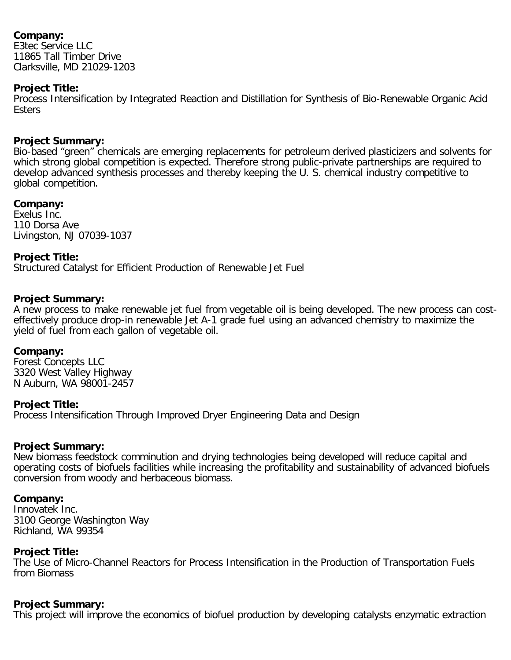E3tec Service LLC 11865 Tall Timber Drive Clarksville, MD 21029-1203

# **Project Title:**

Process Intensification by Integrated Reaction and Distillation for Synthesis of Bio-Renewable Organic Acid **Esters** 

# **Project Summary:**

Bio-based "green" chemicals are emerging replacements for petroleum derived plasticizers and solvents for which strong global competition is expected. Therefore strong public-private partnerships are required to develop advanced synthesis processes and thereby keeping the U. S. chemical industry competitive to global competition.

# **Company:**

Exelus Inc. 110 Dorsa Ave Livingston, NJ 07039-1037

# **Project Title:**

Structured Catalyst for Efficient Production of Renewable Jet Fuel

# **Project Summary:**

A new process to make renewable jet fuel from vegetable oil is being developed. The new process can costeffectively produce drop-in renewable Jet A-1 grade fuel using an advanced chemistry to maximize the yield of fuel from each gallon of vegetable oil.

# **Company:**

Forest Concepts LLC 3320 West Valley Highway N Auburn, WA 98001-2457

# **Project Title:**

Process Intensification Through Improved Dryer Engineering Data and Design

# **Project Summary:**

New biomass feedstock comminution and drying technologies being developed will reduce capital and operating costs of biofuels facilities while increasing the profitability and sustainability of advanced biofuels conversion from woody and herbaceous biomass.

# **Company:**

Innovatek Inc. 3100 George Washington Way Richland, WA 99354

# **Project Title:**

The Use of Micro-Channel Reactors for Process Intensification in the Production of Transportation Fuels from Biomass

# **Project Summary:**

This project will improve the economics of biofuel production by developing catalysts enzymatic extraction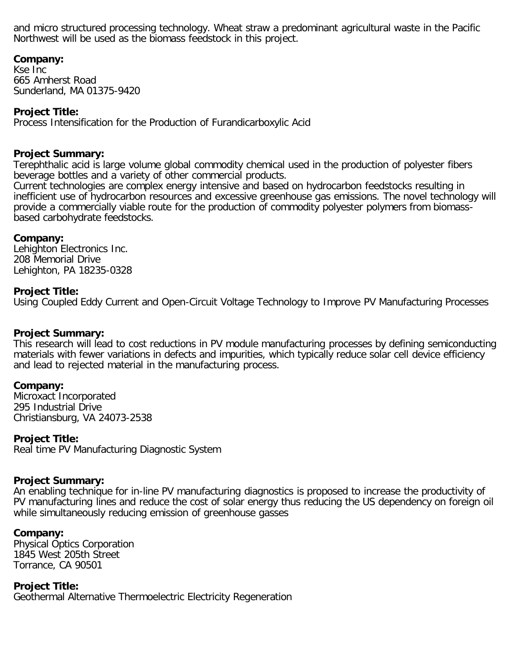and micro structured processing technology. Wheat straw a predominant agricultural waste in the Pacific Northwest will be used as the biomass feedstock in this project.

# **Company:**

Kse Inc 665 Amherst Road Sunderland, MA 01375-9420

# **Project Title:**

Process Intensification for the Production of Furandicarboxylic Acid

#### **Project Summary:**

Terephthalic acid is large volume global commodity chemical used in the production of polyester fibers beverage bottles and a variety of other commercial products.

Current technologies are complex energy intensive and based on hydrocarbon feedstocks resulting in inefficient use of hydrocarbon resources and excessive greenhouse gas emissions. The novel technology will provide a commercially viable route for the production of commodity polyester polymers from biomassbased carbohydrate feedstocks.

#### **Company:**

Lehighton Electronics Inc. 208 Memorial Drive Lehighton, PA 18235-0328

#### **Project Title:**

Using Coupled Eddy Current and Open-Circuit Voltage Technology to Improve PV Manufacturing Processes

#### **Project Summary:**

This research will lead to cost reductions in PV module manufacturing processes by defining semiconducting materials with fewer variations in defects and impurities, which typically reduce solar cell device efficiency and lead to rejected material in the manufacturing process.

#### **Company:**

Microxact Incorporated 295 Industrial Drive Christiansburg, VA 24073-2538

#### **Project Title:**

Real time PV Manufacturing Diagnostic System

#### **Project Summary:**

An enabling technique for in-line PV manufacturing diagnostics is proposed to increase the productivity of PV manufacturing lines and reduce the cost of solar energy thus reducing the US dependency on foreign oil while simultaneously reducing emission of greenhouse gasses

#### **Company:**

Physical Optics Corporation 1845 West 205th Street Torrance, CA 90501

**Project Title:** Geothermal Alternative Thermoelectric Electricity Regeneration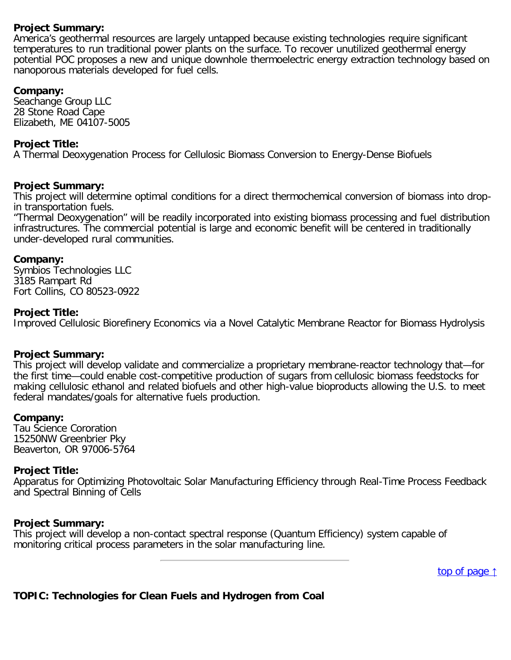# **Project Summary:**

America's geothermal resources are largely untapped because existing technologies require significant temperatures to run traditional power plants on the surface. To recover unutilized geothermal energy potential POC proposes a new and unique downhole thermoelectric energy extraction technology based on nanoporous materials developed for fuel cells.

# **Company:**

Seachange Group LLC 28 Stone Road Cape Elizabeth, ME 04107-5005

### **Project Title:**

A Thermal Deoxygenation Process for Cellulosic Biomass Conversion to Energy-Dense Biofuels

### **Project Summary:**

This project will determine optimal conditions for a direct thermochemical conversion of biomass into dropin transportation fuels.

"Thermal Deoxygenation" will be readily incorporated into existing biomass processing and fuel distribution infrastructures. The commercial potential is large and economic benefit will be centered in traditionally under-developed rural communities.

### **Company:**

Symbios Technologies LLC 3185 Rampart Rd Fort Collins, CO 80523-0922

### **Project Title:**

Improved Cellulosic Biorefinery Economics via a Novel Catalytic Membrane Reactor for Biomass Hydrolysis

# **Project Summary:**

This project will develop validate and commercialize a proprietary membrane-reactor technology that—for the first time—could enable cost-competitive production of sugars from cellulosic biomass feedstocks for making cellulosic ethanol and related biofuels and other high-value bioproducts allowing the U.S. to meet federal mandates/goals for alternative fuels production.

#### **Company:**

Tau Science Cororation 15250NW Greenbrier Pky Beaverton, OR 97006-5764

# **Project Title:**

Apparatus for Optimizing Photovoltaic Solar Manufacturing Efficiency through Real-Time Process Feedback and Spectral Binning of Cells

#### **Project Summary:**

<span id="page-19-0"></span>This project will develop a non-contact spectral response (Quantum Efficiency) system capable of monitoring critical process parameters in the solar manufacturing line.

[top of page](#page-0-1) [↑](#page-0-1)